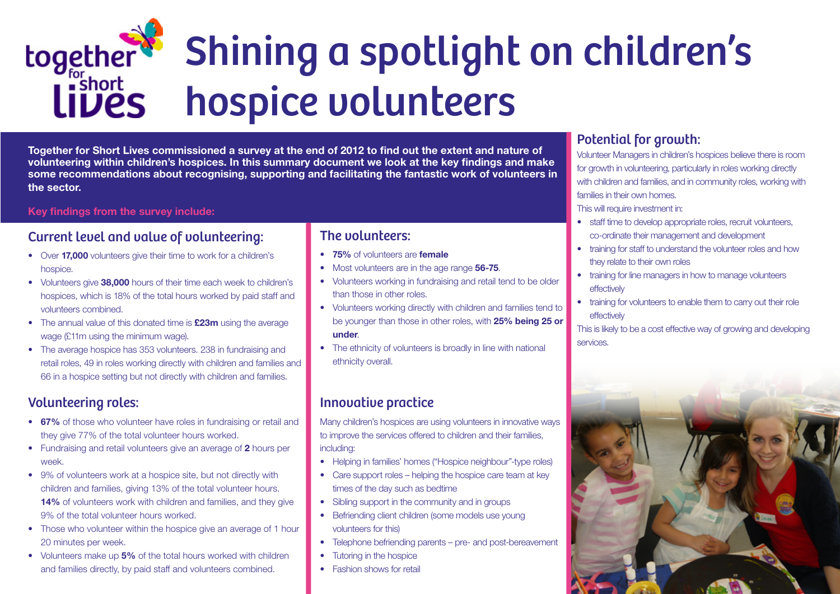# Shining a spotlight on children's together hospice volunteers

Together for Short Lives commissioned a survey at the end of 2012 to find out the extent and nature of volunteering within children's hospices. In this summary document we look at the key findings and make some recommendations about recognising, supporting and facilitating the fantastic work of volunteers in the sector.

#### Key findings from the survey include:

#### Current level and value of volunteering:

- Over 17,000 volunteers give their time to work for a children's hospice.
- Volunteers give 38,000 hours of their time each week to children's hospices, which is 18% of the total hours worked by paid staff and volunteers combined.
- The annual value of this donated time is **£23m** using the average wage (£11m using the minimum wage).
- The average hospice has 353 volunteers. 238 in fundraising and retail roles, 49 in roles working directly with children and families and 66 in a hospice setting but not directly with children and families.

- 67% of those who volunteer have roles in fundraising or retail and they give 77% of the total volunteer hours worked.
- Fundraising and retail volunteers give an average of 2 hours per week.
- 9% of volunteers work at a hospice site, but not directly with children and families, giving 13% of the total volunteer hours. 14% of volunteers work with children and families, and they give 9% of the total volunteer hours worked.
- Those who volunteer within the hospice give an average of 1 hour 20 minutes per week.
- Volunteers make up 5% of the total hours worked with children and families directly, by paid staff and volunteers combined.

## Volunteering roles:

- 75% of volunteers are female
- Most volunteers are in the age range 56-75.
- Volunteers working in fundraising and retail tend to be older than those in other roles.
- Volunteers working directly with children and families tend to be younger than those in other roles, with 25% being 25 or under.
- The ethnicity of volunteers is broadly in line with national ethnicity overall.

#### The volunteers:

## Innovative practice

Many children's hospices are using volunteers in innovative ways to improve the services offered to children and their families, including:

- Helping in families' homes ("Hospice neighbour"-type roles)
- Care support roles helping the hospice care team at key times of the day such as bedtime
- Sibling support in the community and in groups
- Befriending client children (some models use young volunteers for this)
- Telephone befriending parents pre- and post-bereavement
- **Tutoring in the hospice**
- Fashion shows for retail

#### Potential for growth:

- 
- staff time to develop appropriate roles, recruit volunteers,
	- co-ordinate their management and development
- training for staff to understand the volunteer roles and how
	- training for line managers in how to manage volunteers

training for volunteers to enable them to carry out their role

Volunteer Managers in children's hospices believe there is room for growth in volunteering, particularly in roles working directly with children and families, and in community roles, working with families in their own homes. This will require investment in:

- 
- they relate to their own roles
- effectively
- effectively

This is likely to be a cost effective way of growing and developing

services.